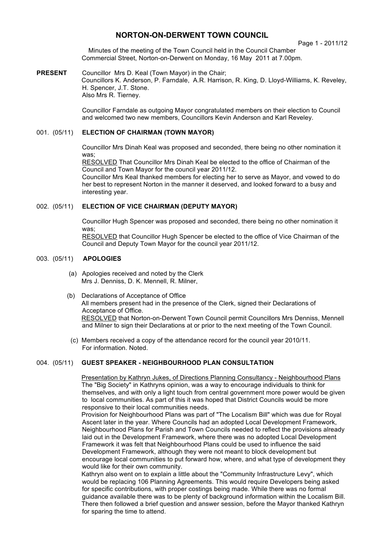# **NORTON-ON-DERWENT TOWN COUNCIL**

Page 1 - 2011/12

Minutes of the meeting of the Town Council held in the Council Chamber Commercial Street, Norton-on-Derwent on Monday, 16 May 2011 at 7.00pm.

**PRESENT** Councillor Mrs D. Keal (Town Mayor) in the Chair; Councillors K. Anderson, P. Farndale, A.R. Harrison, R. King, D. Lloyd-Williams, K. Reveley, H. Spencer, J.T. Stone. Also Mrs R. Tierney.

> Councillor Farndale as outgoing Mayor congratulated members on their election to Council and welcomed two new members, Councillors Kevin Anderson and Karl Reveley.

#### 001. (05/11) **ELECTION OF CHAIRMAN (TOWN MAYOR)**

Councillor Mrs Dinah Keal was proposed and seconded, there being no other nomination it was;

RESOLVED That Councillor Mrs Dinah Keal be elected to the office of Chairman of the Council and Town Mayor for the council year 2011/12.

Councillor Mrs Keal thanked members for electing her to serve as Mayor, and vowed to do her best to represent Norton in the manner it deserved, and looked forward to a busy and interesting year.

#### 002. (05/11) **ELECTION OF VICE CHAIRMAN (DEPUTY MAYOR)**

Councillor Hugh Spencer was proposed and seconded, there being no other nomination it was:

RESOLVED that Councillor Hugh Spencer be elected to the office of Vice Chairman of the Council and Deputy Town Mayor for the council year 2011/12.

### 003. (05/11) **APOLOGIES**

- (a) Apologies received and noted by the Clerk Mrs J. Denniss, D. K. Mennell, R. Milner,
- (b) Declarations of Acceptance of Office All members present had in the presence of the Clerk, signed their Declarations of Acceptance of Office. RESOLVED that Norton-on-Derwent Town Council permit Councillors Mrs Denniss, Mennell and Milner to sign their Declarations at or prior to the next meeting of the Town Council.
	- (c) Members received a copy of the attendance record for the council year 2010/11. For information. Noted.

# 004. (05/11) **GUEST SPEAKER - NEIGHBOURHOOD PLAN CONSULTATION**

Presentation by Kathryn Jukes, of Directions Planning Consultancy - Neighbourhood Plans The "Big Society" in Kathryns opinion, was a way to encourage individuals to think for themselves, and with only a light touch from central government more power would be given to local communities. As part of this it was hoped that District Councils would be more responsive to their local communities needs.

Provision for Neighbourhood Plans was part of "The Localism Bill" which was due for Royal Ascent later in the year. Where Councils had an adopted Local Development Framework, Neighbourhood Plans for Parish and Town Councils needed to reflect the provisions already laid out in the Development Framework, where there was no adopted Local Development Framework it was felt that Neighbourhood Plans could be used to influence the said Development Framework, although they were not meant to block development but encourage local communities to put forward how, where, and what type of development they would like for their own community.

Kathryn also went on to explain a little about the "Community Infrastructure Levy", which would be replacing 106 Planning Agreements. This would require Developers being asked for specific contributions, with proper costings being made. While there was no formal guidance available there was to be plenty of background information within the Localism Bill. There then followed a brief question and answer session, before the Mayor thanked Kathryn for sparing the time to attend.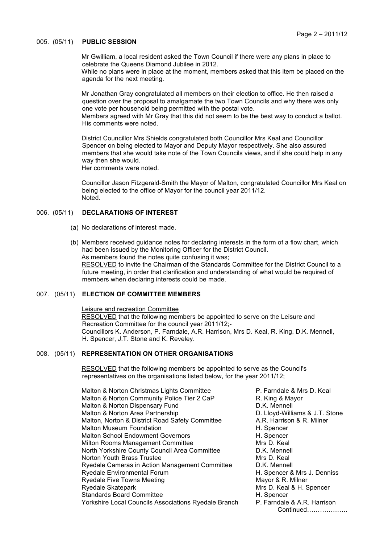#### 005. (05/11) **PUBLIC SESSION**

Mr Gwilliam, a local resident asked the Town Council if there were any plans in place to celebrate the Queens Diamond Jubilee in 2012.

While no plans were in place at the moment, members asked that this item be placed on the agenda for the next meeting.

Mr Jonathan Gray congratulated all members on their election to office. He then raised a question over the proposal to amalgamate the two Town Councils and why there was only one vote per household being permitted with the postal vote. Members agreed with Mr Gray that this did not seem to be the best way to conduct a ballot. His comments were noted.

District Councillor Mrs Shields congratulated both Councillor Mrs Keal and Councillor Spencer on being elected to Mayor and Deputy Mayor respectively. She also assured members that she would take note of the Town Councils views, and if she could help in any way then she would. Her comments were noted.

Councillor Jason Fitzgerald-Smith the Mayor of Malton, congratulated Councillor Mrs Keal on being elected to the office of Mayor for the council year 2011/12. Noted.

### 006. (05/11) **DECLARATIONS OF INTEREST**

- (a) No declarations of interest made.
- (b) Members received guidance notes for declaring interests in the form of a flow chart, which had been issued by the Monitoring Officer for the District Council. As members found the notes quite confusing it was; RESOLVED to invite the Chairman of the Standards Committee for the District Council to a future meeting, in order that clarification and understanding of what would be required of members when declaring interests could be made.

# 007. (05/11) **ELECTION OF COMMITTEE MEMBERS**

Leisure and recreation Committee RESOLVED that the following members be appointed to serve on the Leisure and Recreation Committee for the council year 2011/12;- Councillors K. Anderson, P. Farndale, A.R. Harrison, Mrs D. Keal, R. King, D.K. Mennell, H. Spencer, J.T. Stone and K. Reveley.

#### 008. (05/11) **REPRESENTATION ON OTHER ORGANISATIONS**

RESOLVED that the following members be appointed to serve as the Council's representatives on the organisations listed below, for the year 2011/12;

Malton & Norton Christmas Lights Committee **P. Farndale & Mrs D. Keal** Malton & Norton Community Police Tier 2 CaP R. King & Mayor Malton & Norton Dispensary Fund D.K. Mennell Malton & Norton Area Partnership **D. Lloyd-Williams & J.T. Stone** Malton, Norton & District Road Safety Committee A.R. Harrison & R. Milner Malton Museum Foundation **Malton** H. Spencer Malton School Endowment Governors **H. Spencer**<br>Milton Rooms Management Committee **H. S. H. S. H. S. Keal** Milton Rooms Management Committee North Yorkshire County Council Area Committee D.K. Mennell Norton Youth Brass Trustee Mrs D. Keal Ryedale Cameras in Action Management Committee D.K. Mennell Ryedale Environmental Forum **H. Spencer & Mrs J. Denniss** Ryedale Five Towns Meeting Mayor & R. Milner Ryedale Skatepark Mrs D. Keal & H. Spencer Standards Board Committee **H. Spencer** Yorkshire Local Councils Associations Ryedale Branch P. Farndale & A.R. Harrison

Continued……………….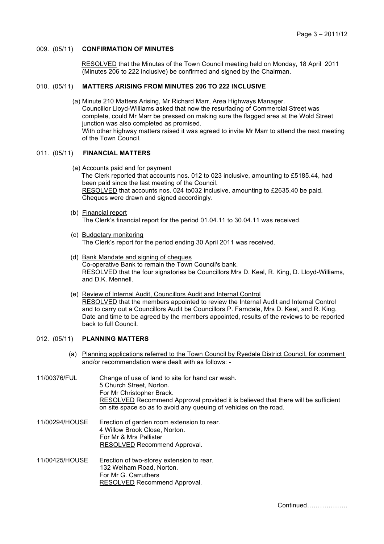#### 009. (05/11) **CONFIRMATION OF MINUTES**

 RESOLVED that the Minutes of the Town Council meeting held on Monday, 18 April 2011 (Minutes 206 to 222 inclusive) be confirmed and signed by the Chairman.

# 010. (05/11) **MATTERS ARISING FROM MINUTES 206 TO 222 INCLUSIVE**

(a) Minute 210 Matters Arising, Mr Richard Marr, Area Highways Manager. Councillor Lloyd-Williams asked that now the resurfacing of Commercial Street was complete, could Mr Marr be pressed on making sure the flagged area at the Wold Street junction was also completed as promised. With other highway matters raised it was agreed to invite Mr Marr to attend the next meeting of the Town Council.

#### 011. (05/11) **FINANCIAL MATTERS**

- (a) Accounts paid and for payment The Clerk reported that accounts nos. 012 to 023 inclusive, amounting to £5185.44, had been paid since the last meeting of the Council. RESOLVED that accounts nos. 024 to032 inclusive, amounting to £2635.40 be paid. Cheques were drawn and signed accordingly.
- (b) Financial report The Clerk's financial report for the period 01.04.11 to 30.04.11 was received.
- (c) Budgetary monitoring The Clerk's report for the period ending 30 April 2011 was received.
- (d) Bank Mandate and signing of cheques Co-operative Bank to remain the Town Council's bank. RESOLVED that the four signatories be Councillors Mrs D. Keal, R. King, D. Lloyd-Williams, and D.K. Mennell.
- (e) Review of Internal Audit, Councillors Audit and Internal Control RESOLVED that the members appointed to review the Internal Audit and Internal Control and to carry out a Councillors Audit be Councillors P. Farndale, Mrs D. Keal, and R. King. Date and time to be agreed by the members appointed, results of the reviews to be reported back to full Council.

# 012. (05/11) **PLANNING MATTERS**

- (a) Planning applications referred to the Town Council by Ryedale District Council, for comment and/or recommendation were dealt with as follows: -
- 11/00376/FUL Change of use of land to site for hand car wash. 5 Church Street, Norton. For Mr Christopher Brack. RESOLVED Recommend Approval provided it is believed that there will be sufficient on site space so as to avoid any queuing of vehicles on the road.

11/00294/HOUSE Erection of garden room extension to rear. 4 Willow Brook Close, Norton. For Mr & Mrs Pallister RESOLVED Recommend Approval.

11/00425/HOUSE Erection of two-storey extension to rear. 132 Welham Road, Norton. For Mr G. Carruthers RESOLVED Recommend Approval.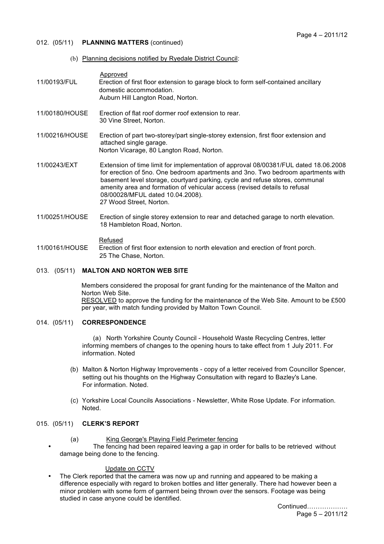- 012. (05/11) **PLANNING MATTERS** (continued)
	- (b) Planning decisions notified by Ryedale District Council:

| 11/00193/FUL                     | Approved<br>Erection of first floor extension to garage block to form self-contained ancillary<br>domestic accommodation.<br>Auburn Hill Langton Road, Norton.                                                                                                                                                                                                                                        |
|----------------------------------|-------------------------------------------------------------------------------------------------------------------------------------------------------------------------------------------------------------------------------------------------------------------------------------------------------------------------------------------------------------------------------------------------------|
| 11/00180/HOUSE                   | Erection of flat roof dormer roof extension to rear.<br>30 Vine Street, Norton.                                                                                                                                                                                                                                                                                                                       |
| 11/00216/HOUSE                   | Erection of part two-storey/part single-storey extension, first floor extension and<br>attached single garage.<br>Norton Vicarage, 80 Langton Road, Norton.                                                                                                                                                                                                                                           |
| 11/00243/EXT                     | Extension of time limit for implementation of approval 08/00381/FUL dated 18.06.2008<br>for erection of 5no. One bedroom apartments and 3no. Two bedroom apartments with<br>basement level storage, courtyard parking, cycle and refuse stores, communal<br>amenity area and formation of vehicular access (revised details to refusal<br>08/00028/MFUL dated 10.04.2008).<br>27 Wood Street, Norton. |
| 11/000 $\sqrt{210}$ $\sqrt{210}$ | Erection of cinele eterou outencien to rear and detached gereas to nextle elevation                                                                                                                                                                                                                                                                                                                   |

11/00251/HOUSE Erection of single storey extension to rear and detached garage to north elevation. 18 Hambleton Road, Norton.

Refused

11/00161/HOUSE Erection of first floor extension to north elevation and erection of front porch. 25 The Chase, Norton.

### 013. (05/11) **MALTON AND NORTON WEB SITE**

Members considered the proposal for grant funding for the maintenance of the Malton and Norton Web Site. RESOLVED to approve the funding for the maintenance of the Web Site. Amount to be £500 per year, with match funding provided by Malton Town Council.

#### 014. (05/11) **CORRESPONDENCE**

 (a) North Yorkshire County Council - Household Waste Recycling Centres, letter informing members of changes to the opening hours to take effect from 1 July 2011. For information. Noted

- (b) Malton & Norton Highway Improvements copy of a letter received from Councillor Spencer, setting out his thoughts on the Highway Consultation with regard to Bazley's Lane. For information. Noted.
- (c) Yorkshire Local Councils Associations Newsletter, White Rose Update. For information. Noted.

# 015. (05/11) **CLERK'S REPORT**

- (a) King George's Playing Field Perimeter fencing
- The fencing had been repaired leaving a gap in order for balls to be retrieved without damage being done to the fencing.

# Update on CCTV

• The Clerk reported that the camera was now up and running and appeared to be making a difference especially with regard to broken bottles and litter generally. There had however been a minor problem with some form of garment being thrown over the sensors. Footage was being studied in case anyone could be identified.